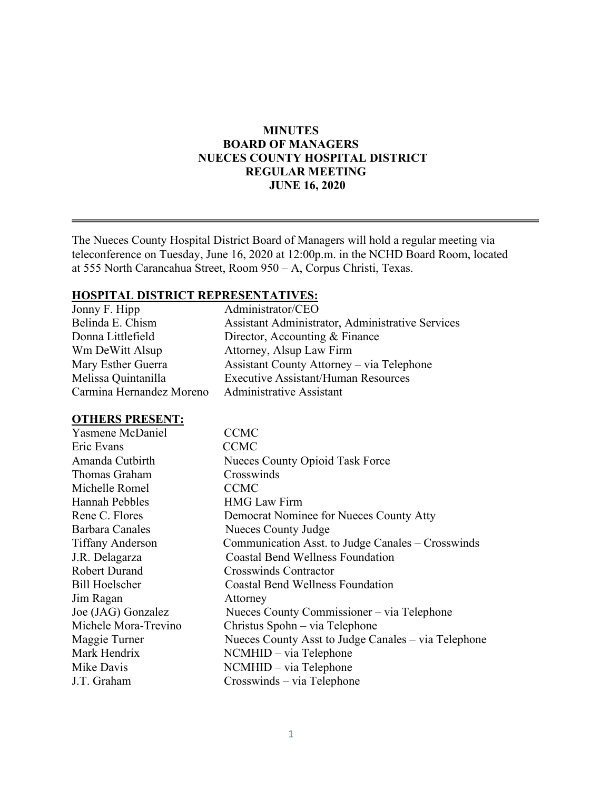### **MINUTES BOARD OF MANAGERS NUECES COUNTY HOSPITAL DISTRICT REGULAR MEETING JUNE 16, 2020**

The Nueces County Hospital District Board of Managers will hold a regular meeting via teleconference on Tuesday, June 16, 2020 at 12:00p.m. in the NCHD Board Room, located at 555 North Carancahua Street, Room 950 – A, Corpus Christi, Texas.

#### **HOSPITAL DISTRICT REPRESENTATIVES:**

| Jonny F. Hipp            | Administrator/CEO                                |
|--------------------------|--------------------------------------------------|
| Belinda E. Chism         | Assistant Administrator, Administrative Services |
| Donna Littlefield        | Director, Accounting & Finance                   |
| Wm DeWitt Alsup          | Attorney, Alsup Law Firm                         |
| Mary Esther Guerra       | Assistant County Attorney – via Telephone        |
| Melissa Quintanilla      | <b>Executive Assistant/Human Resources</b>       |
| Carmina Hernandez Moreno | <b>Administrative Assistant</b>                  |

#### **OTHERS PRESENT:**

| Yasmene McDaniel        | <b>CCMC</b>                                         |
|-------------------------|-----------------------------------------------------|
| Eric Evans              | <b>CCMC</b>                                         |
| Amanda Cutbirth         | <b>Nueces County Opioid Task Force</b>              |
| Thomas Graham           | Crosswinds                                          |
| Michelle Romel          | <b>CCMC</b>                                         |
| <b>Hannah Pebbles</b>   | <b>HMG</b> Law Firm                                 |
| Rene C. Flores          | Democrat Nominee for Nueces County Atty             |
| Barbara Canales         | Nueces County Judge                                 |
| <b>Tiffany Anderson</b> | Communication Asst. to Judge Canales - Crosswinds   |
| J.R. Delagarza          | <b>Coastal Bend Wellness Foundation</b>             |
| <b>Robert Durand</b>    | <b>Crosswinds Contractor</b>                        |
| <b>Bill Hoelscher</b>   | <b>Coastal Bend Wellness Foundation</b>             |
| Jim Ragan               | Attorney                                            |
| Joe (JAG) Gonzalez      | Nueces County Commissioner – via Telephone          |
| Michele Mora-Trevino    | Christus Spohn – via Telephone                      |
| Maggie Turner           | Nueces County Asst to Judge Canales – via Telephone |
| Mark Hendrix            | NCMHID – via Telephone                              |
| Mike Davis              | NCMHID – via Telephone                              |
| J.T. Graham             | Crosswinds – via Telephone                          |
|                         |                                                     |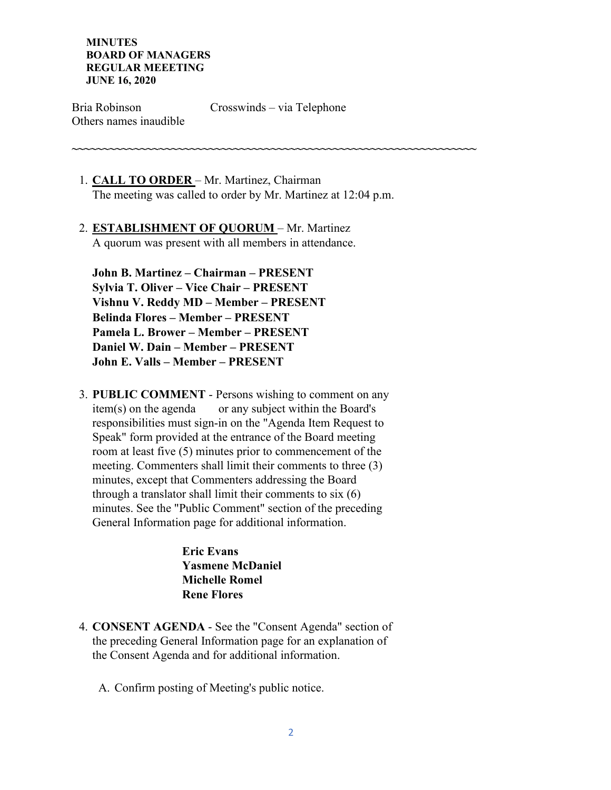Bria Robinson Crosswinds – via Telephone Others names inaudible

**~~~~~~~~~~~~~~~~~~~~~~~~~~~~~~~~~~~~~~~~~~~~~~~~~~~~~~~~~~~~~~~~~**

- 1. **CALL TO ORDER**  Mr. Martinez, Chairman The meeting was called to order by Mr. Martinez at 12:04 p.m.
- 2. **ESTABLISHMENT OF QUORUM**  Mr. Martinez A quorum was present with all members in attendance.

**John B. Martinez – Chairman – PRESENT Sylvia T. Oliver – Vice Chair – PRESENT Vishnu V. Reddy MD – Member – PRESENT Belinda Flores – Member – PRESENT Pamela L. Brower – Member – PRESENT Daniel W. Dain – Member – PRESENT John E. Valls – Member – PRESENT** 

3. **PUBLIC COMMENT** - Persons wishing to comment on any item(s) on the agenda or any subject within the Board's responsibilities must sign-in on the "Agenda Item Request to Speak" form provided at the entrance of the Board meeting room at least five (5) minutes prior to commencement of the meeting. Commenters shall limit their comments to three (3) minutes, except that Commenters addressing the Board through a translator shall limit their comments to six (6) minutes. See the "Public Comment" section of the preceding General Information page for additional information.

> **Eric Evans Yasmene McDaniel Michelle Romel Rene Flores**

- 4. **CONSENT AGENDA** See the "Consent Agenda" section of the preceding General Information page for an explanation of the Consent Agenda and for additional information.
	- A. Confirm posting of Meeting's public notice.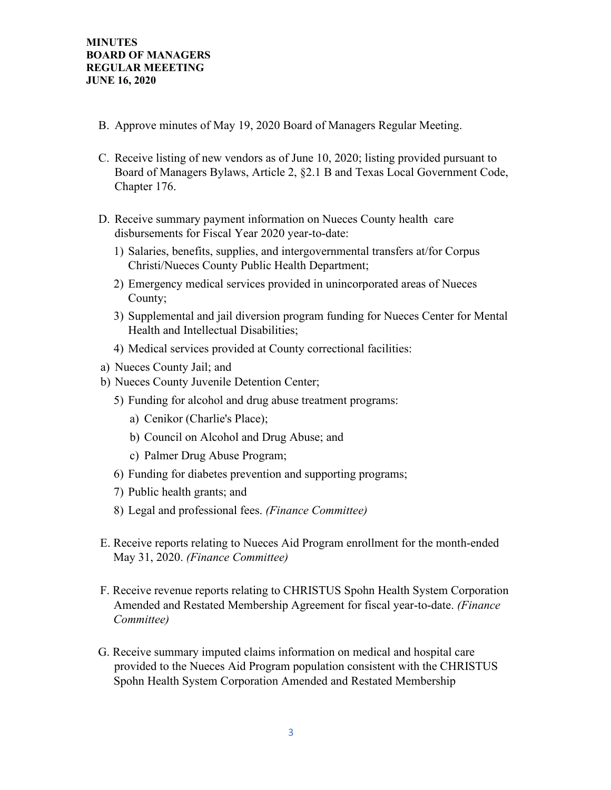- B. Approve minutes of May 19, 2020 Board of Managers Regular Meeting.
- C. Receive listing of new vendors as of June 10, 2020; listing provided pursuant to Board of Managers Bylaws, Article 2, §2.1 B and Texas Local Government Code, Chapter 176.
- D. Receive summary payment information on Nueces County health care disbursements for Fiscal Year 2020 year-to-date:
	- 1) Salaries, benefits, supplies, and intergovernmental transfers at/for Corpus Christi/Nueces County Public Health Department;
	- 2) Emergency medical services provided in unincorporated areas of Nueces County;
	- 3) Supplemental and jail diversion program funding for Nueces Center for Mental Health and Intellectual Disabilities;
	- 4) Medical services provided at County correctional facilities:
- a) Nueces County Jail; and
- b) Nueces County Juvenile Detention Center;
	- 5) Funding for alcohol and drug abuse treatment programs:
		- a) Cenikor (Charlie's Place);
		- b) Council on Alcohol and Drug Abuse; and
		- c) Palmer Drug Abuse Program;
	- 6) Funding for diabetes prevention and supporting programs;
	- 7) Public health grants; and
	- 8) Legal and professional fees. *(Finance Committee)*
- E. Receive reports relating to Nueces Aid Program enrollment for the month-ended May 31, 2020. *(Finance Committee)*
- F. Receive revenue reports relating to CHRISTUS Spohn Health System Corporation Amended and Restated Membership Agreement for fiscal year-to-date. *(Finance Committee)*
- G. Receive summary imputed claims information on medical and hospital care provided to the Nueces Aid Program population consistent with the CHRISTUS Spohn Health System Corporation Amended and Restated Membership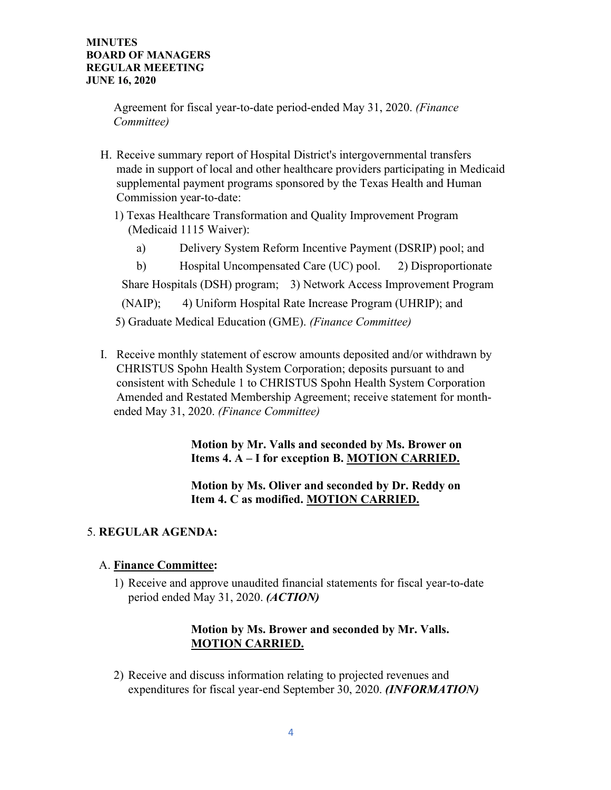Agreement for fiscal year-to-date period-ended May 31, 2020. *(Finance Committee)*

- H. Receive summary report of Hospital District's intergovernmental transfers made in support of local and other healthcare providers participating in Medicaid supplemental payment programs sponsored by the Texas Health and Human Commission year-to-date:
	- 1) Texas Healthcare Transformation and Quality Improvement Program (Medicaid 1115 Waiver):
		- a) Delivery System Reform Incentive Payment (DSRIP) pool; and
	- b) Hospital Uncompensated Care (UC) pool. 2) Disproportionate Share Hospitals (DSH) program; 3) Network Access Improvement Program (NAIP); 4) Uniform Hospital Rate Increase Program (UHRIP); and 5) Graduate Medical Education (GME). *(Finance Committee)*
- I. Receive monthly statement of escrow amounts deposited and/or withdrawn by CHRISTUS Spohn Health System Corporation; deposits pursuant to and consistent with Schedule 1 to CHRISTUS Spohn Health System Corporation Amended and Restated Membership Agreement; receive statement for monthended May 31, 2020. *(Finance Committee)*

 **Motion by Mr. Valls and seconded by Ms. Brower on Items 4. A – I for exception B. MOTION CARRIED.** 

 **Motion by Ms. Oliver and seconded by Dr. Reddy on Item 4. C as modified. MOTION CARRIED.** 

# 5. **REGULAR AGENDA:**

## A. **Finance Committee:**

1) Receive and approve unaudited financial statements for fiscal year-to-date period ended May 31, 2020. *(ACTION)* 

## **Motion by Ms. Brower and seconded by Mr. Valls. MOTION CARRIED.**

2) Receive and discuss information relating to projected revenues and expenditures for fiscal year-end September 30, 2020. *(INFORMATION)*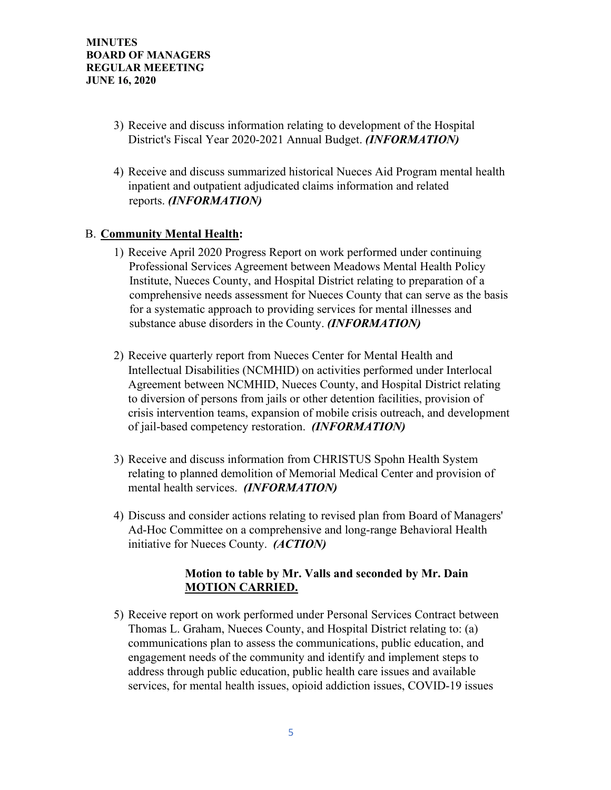- 3) Receive and discuss information relating to development of the Hospital District's Fiscal Year 2020-2021 Annual Budget. *(INFORMATION)*
- 4) Receive and discuss summarized historical Nueces Aid Program mental health inpatient and outpatient adjudicated claims information and related reports. *(INFORMATION)*

## B. **Community Mental Health:**

- 1) Receive April 2020 Progress Report on work performed under continuing Professional Services Agreement between Meadows Mental Health Policy Institute, Nueces County, and Hospital District relating to preparation of a comprehensive needs assessment for Nueces County that can serve as the basis for a systematic approach to providing services for mental illnesses and substance abuse disorders in the County. *(INFORMATION)*
- 2) Receive quarterly report from Nueces Center for Mental Health and Intellectual Disabilities (NCMHID) on activities performed under Interlocal Agreement between NCMHID, Nueces County, and Hospital District relating to diversion of persons from jails or other detention facilities, provision of crisis intervention teams, expansion of mobile crisis outreach, and development of jail-based competency restoration. *(INFORMATION)*
- 3) Receive and discuss information from CHRISTUS Spohn Health System relating to planned demolition of Memorial Medical Center and provision of mental health services. *(INFORMATION)*
- 4) Discuss and consider actions relating to revised plan from Board of Managers' Ad-Hoc Committee on a comprehensive and long-range Behavioral Health initiative for Nueces County. *(ACTION)*

### **Motion to table by Mr. Valls and seconded by Mr. Dain MOTION CARRIED.**

5) Receive report on work performed under Personal Services Contract between Thomas L. Graham, Nueces County, and Hospital District relating to: (a) communications plan to assess the communications, public education, and engagement needs of the community and identify and implement steps to address through public education, public health care issues and available services, for mental health issues, opioid addiction issues, COVID-19 issues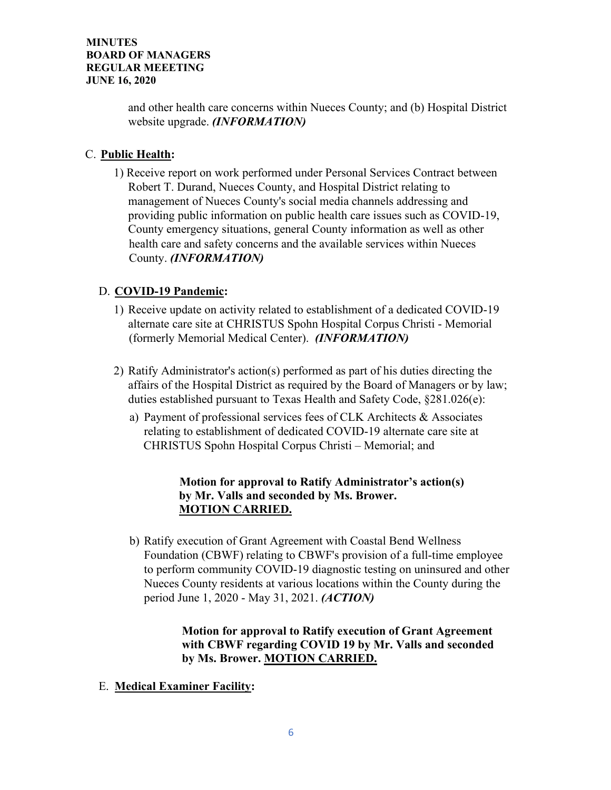and other health care concerns within Nueces County; and (b) Hospital District website upgrade. *(INFORMATION)* 

# C. **Public Health:**

1) Receive report on work performed under Personal Services Contract between Robert T. Durand, Nueces County, and Hospital District relating to management of Nueces County's social media channels addressing and providing public information on public health care issues such as COVID-19, County emergency situations, general County information as well as other health care and safety concerns and the available services within Nueces County. *(INFORMATION)* 

# D. **COVID-19 Pandemic:**

- 1) Receive update on activity related to establishment of a dedicated COVID-19 alternate care site at CHRISTUS Spohn Hospital Corpus Christi - Memorial (formerly Memorial Medical Center). *(INFORMATION)*
- 2) Ratify Administrator's action(s) performed as part of his duties directing the affairs of the Hospital District as required by the Board of Managers or by law; duties established pursuant to Texas Health and Safety Code, §281.026(e):
	- a) Payment of professional services fees of CLK Architects & Associates relating to establishment of dedicated COVID-19 alternate care site at CHRISTUS Spohn Hospital Corpus Christi – Memorial; and

# **Motion for approval to Ratify Administrator's action(s) by Mr. Valls and seconded by Ms. Brower. MOTION CARRIED.**

b) Ratify execution of Grant Agreement with Coastal Bend Wellness Foundation (CBWF) relating to CBWF's provision of a full-time employee to perform community COVID-19 diagnostic testing on uninsured and other Nueces County residents at various locations within the County during the period June 1, 2020 - May 31, 2021. *(ACTION)*

> **Motion for approval to Ratify execution of Grant Agreement with CBWF regarding COVID 19 by Mr. Valls and seconded by Ms. Brower. MOTION CARRIED.**

E. **Medical Examiner Facility:**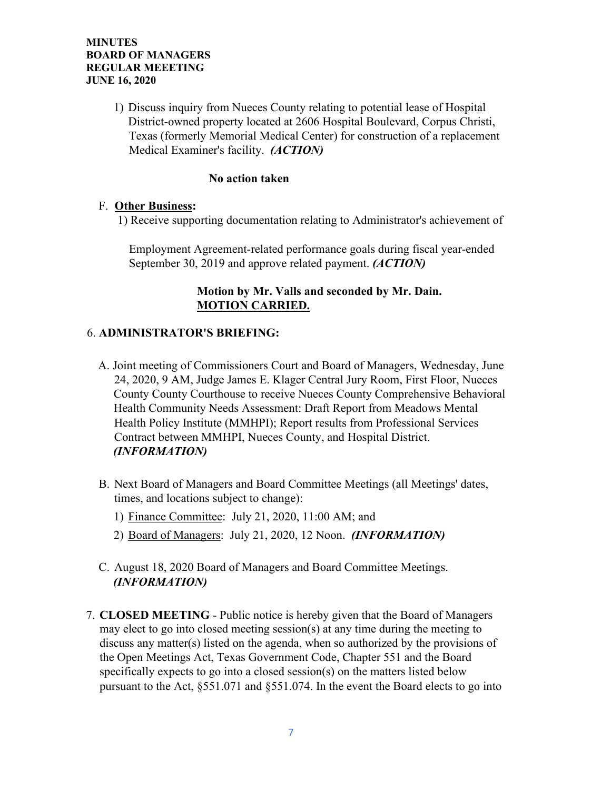1) Discuss inquiry from Nueces County relating to potential lease of Hospital District-owned property located at 2606 Hospital Boulevard, Corpus Christi, Texas (formerly Memorial Medical Center) for construction of a replacement Medical Examiner's facility. *(ACTION)*

### **No action taken**

#### F. **Other Business:**

1) Receive supporting documentation relating to Administrator's achievement of

Employment Agreement-related performance goals during fiscal year-ended September 30, 2019 and approve related payment. *(ACTION)*

## **Motion by Mr. Valls and seconded by Mr. Dain. MOTION CARRIED.**

### 6. **ADMINISTRATOR'S BRIEFING:**

- A. Joint meeting of Commissioners Court and Board of Managers, Wednesday, June 24, 2020, 9 AM, Judge James E. Klager Central Jury Room, First Floor, Nueces County County Courthouse to receive Nueces County Comprehensive Behavioral Health Community Needs Assessment: Draft Report from Meadows Mental Health Policy Institute (MMHPI); Report results from Professional Services Contract between MMHPI, Nueces County, and Hospital District. *(INFORMATION)*
- B. Next Board of Managers and Board Committee Meetings (all Meetings' dates, times, and locations subject to change):
	- 1) Finance Committee: July 21, 2020, 11:00 AM; and
	- 2) Board of Managers: July 21, 2020, 12 Noon. *(INFORMATION)*
- C. August 18, 2020 Board of Managers and Board Committee Meetings. *(INFORMATION)*
- 7. **CLOSED MEETING** Public notice is hereby given that the Board of Managers may elect to go into closed meeting session(s) at any time during the meeting to discuss any matter(s) listed on the agenda, when so authorized by the provisions of the Open Meetings Act, Texas Government Code, Chapter 551 and the Board specifically expects to go into a closed session(s) on the matters listed below pursuant to the Act, §551.071 and §551.074. In the event the Board elects to go into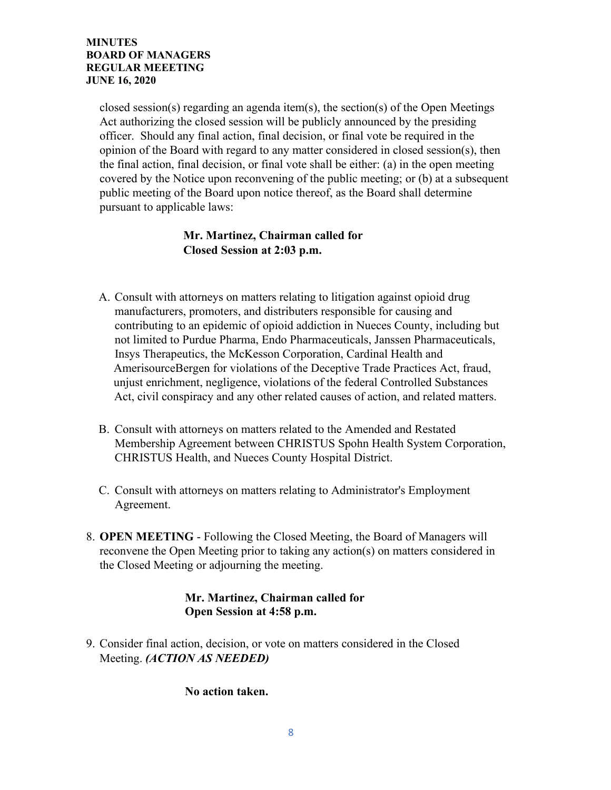closed session(s) regarding an agenda item(s), the section(s) of the Open Meetings Act authorizing the closed session will be publicly announced by the presiding officer. Should any final action, final decision, or final vote be required in the opinion of the Board with regard to any matter considered in closed session(s), then the final action, final decision, or final vote shall be either: (a) in the open meeting covered by the Notice upon reconvening of the public meeting; or (b) at a subsequent public meeting of the Board upon notice thereof, as the Board shall determine pursuant to applicable laws:

# **Mr. Martinez, Chairman called for Closed Session at 2:03 p.m.**

- A. Consult with attorneys on matters relating to litigation against opioid drug manufacturers, promoters, and distributers responsible for causing and contributing to an epidemic of opioid addiction in Nueces County, including but not limited to Purdue Pharma, Endo Pharmaceuticals, Janssen Pharmaceuticals, Insys Therapeutics, the McKesson Corporation, Cardinal Health and AmerisourceBergen for violations of the Deceptive Trade Practices Act, fraud, unjust enrichment, negligence, violations of the federal Controlled Substances Act, civil conspiracy and any other related causes of action, and related matters.
- B. Consult with attorneys on matters related to the Amended and Restated Membership Agreement between CHRISTUS Spohn Health System Corporation, CHRISTUS Health, and Nueces County Hospital District.
- C. Consult with attorneys on matters relating to Administrator's Employment Agreement.
- 8. **OPEN MEETING** Following the Closed Meeting, the Board of Managers will reconvene the Open Meeting prior to taking any action(s) on matters considered in the Closed Meeting or adjourning the meeting.

# **Mr. Martinez, Chairman called for Open Session at 4:58 p.m.**

9. Consider final action, decision, or vote on matters considered in the Closed Meeting. *(ACTION AS NEEDED)*

 **No action taken.**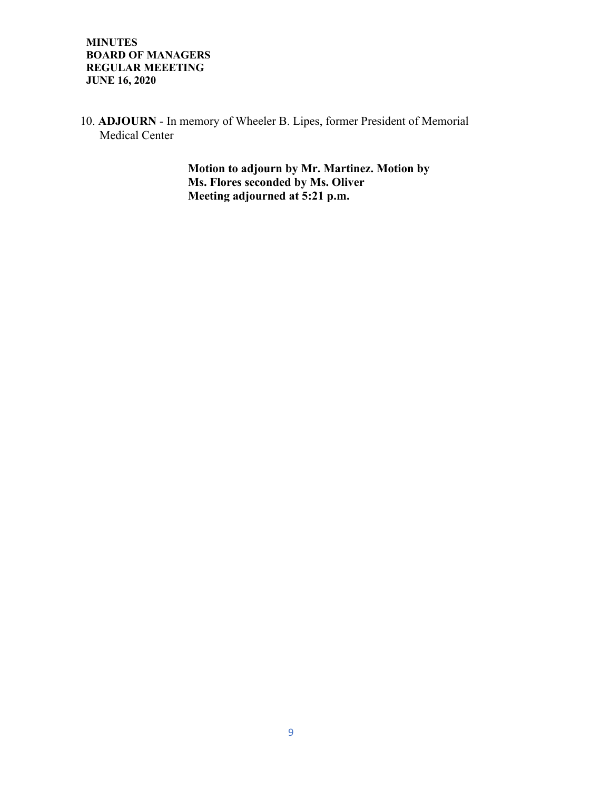10. **ADJOURN** - In memory of Wheeler B. Lipes, former President of Memorial Medical Center

> **Motion to adjourn by Mr. Martinez. Motion by Ms. Flores seconded by Ms. Oliver Meeting adjourned at 5:21 p.m.**